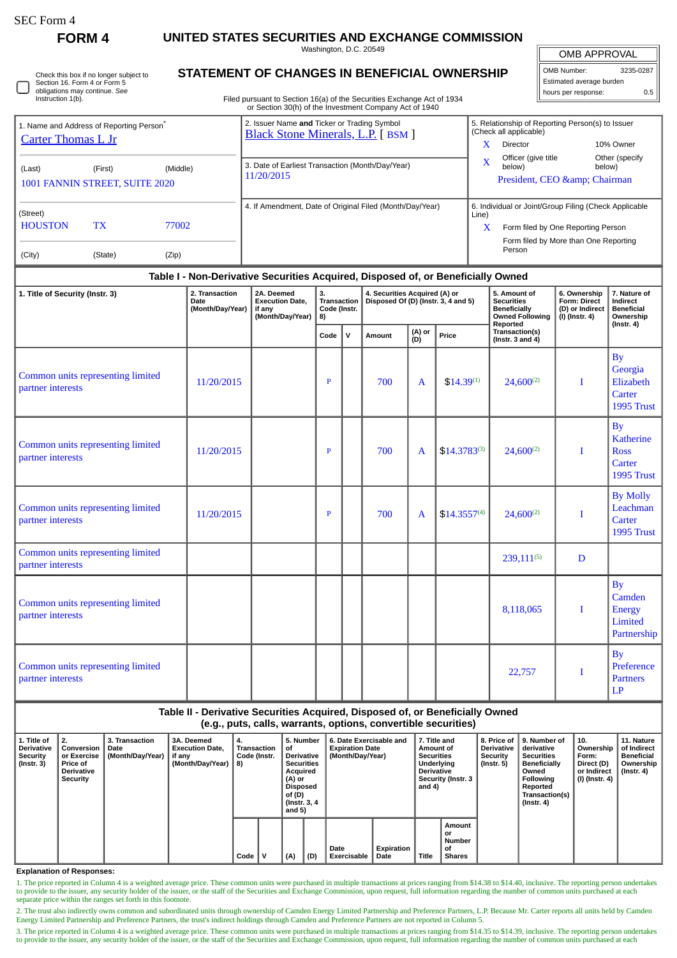| SEC Form 4 |  |
|------------|--|
|------------|--|

∩

**FORM 4 UNITED STATES SECURITIES AND EXCHANGE COMMISSION**

Washington, D.C. 20549

| Check this box if no longer subject to |
|----------------------------------------|
| Section 16. Form 4 or Form 5           |
| obligations may continue. See          |
| Instruction 1(b).                      |

## **STATEMENT OF CHANGES IN BENEFICIAL OWNERSHIP**

Filed pursuant to Section 16(a) of the Securities Exchange Act of 1934 or Section 30(h) of the Investment Company Act of 1940

OMB APPROVAL OMB Number: 3235-0287 Estimated average burden hours per response: 0.5

| 1. Name and Address of Reporting Person <sup>®</sup><br><b>Carter Thomas L Jr</b> |         |          | 2. Issuer Name and Ticker or Trading Symbol<br><b>Black Stone Minerals, L.P.</b> [BSM ] | 5. Relationship of Reporting Person(s) to Issuer<br>(Check all applicable) |  |  |  |  |  |
|-----------------------------------------------------------------------------------|---------|----------|-----------------------------------------------------------------------------------------|----------------------------------------------------------------------------|--|--|--|--|--|
|                                                                                   |         |          |                                                                                         | x<br>10% Owner<br>Director                                                 |  |  |  |  |  |
| (Last)                                                                            | (First) | (Middle) | 3. Date of Earliest Transaction (Month/Day/Year)                                        | Officer (give title<br>Other (specify<br>X<br>below)<br>below)             |  |  |  |  |  |
| 1001 FANNIN STREET, SUITE 2020                                                    |         |          | 11/20/2015                                                                              | President, CEO & amp; Chairman                                             |  |  |  |  |  |
| (Street)                                                                          |         |          | 4. If Amendment, Date of Original Filed (Month/Day/Year)                                | 6. Individual or Joint/Group Filing (Check Applicable<br>Line)             |  |  |  |  |  |
| <b>HOUSTON</b>                                                                    | TX      | 77002    |                                                                                         | x<br>Form filed by One Reporting Person                                    |  |  |  |  |  |
| (City)                                                                            | (State) | (Zip)    |                                                                                         | Form filed by More than One Reporting<br>Person                            |  |  |  |  |  |

## **Table I - Non-Derivative Securities Acquired, Disposed of, or Beneficially Owned**

| 1. Title of Security (Instr. 3)                        | 2. Transaction<br>Date<br>(Month/Day/Year) | 2A. Deemed<br><b>Execution Date,</b><br>if any | 3.<br><b>Transaction</b><br>Code (Instr. |     | 4. Securities Acquired (A) or<br>Disposed Of (D) (Instr. 3, 4 and 5) |               |                  | 5. Amount of<br><b>Securities</b><br><b>Beneficially</b>                    | 6. Ownership<br>Form: Direct<br>(D) or Indirect | 7. Nature of<br>Indirect<br><b>Beneficial</b>                        |
|--------------------------------------------------------|--------------------------------------------|------------------------------------------------|------------------------------------------|-----|----------------------------------------------------------------------|---------------|------------------|-----------------------------------------------------------------------------|-------------------------------------------------|----------------------------------------------------------------------|
|                                                        |                                            | (Month/Day/Year)                               | 8)<br>Code                               | l v | Amount                                                               | (A) or<br>(D) | Price            | <b>Owned Following</b><br>Reported<br>Transaction(s)<br>(Instr. 3 and $4$ ) | $(I)$ (Instr. 4)                                | Ownership<br>$($ Instr. 4 $)$                                        |
| Common units representing limited<br>partner interests | 11/20/2015                                 |                                                | P                                        |     | 700                                                                  | A             | $$14.39^{(1)}$   | $24,600^{(2)}$                                                              | I                                               | <b>By</b><br>Georgia<br>Elizabeth<br>Carter<br>1995 Trust            |
| Common units representing limited<br>partner interests | 11/20/2015                                 |                                                | $\mathbf{P}$                             |     | 700                                                                  | A             | $$14.3783^{(3)}$ | $24,600^{(2)}$                                                              | I                                               | <b>By</b><br><b>Katherine</b><br><b>Ross</b><br>Carter<br>1995 Trust |
| Common units representing limited<br>partner interests | 11/20/2015                                 |                                                | P                                        |     | 700                                                                  | A             | $$14.3557^{(4)}$ | $24,600^{(2)}$                                                              | I                                               | <b>By Molly</b><br>Leachman<br>Carter<br>1995 Trust                  |
| Common units representing limited<br>partner interests |                                            |                                                |                                          |     |                                                                      |               |                  | 239,111(5)                                                                  | D                                               |                                                                      |
| Common units representing limited<br>partner interests |                                            |                                                |                                          |     |                                                                      |               |                  | 8,118,065                                                                   | $\bf{I}$                                        | <b>By</b><br>Camden<br><b>Energy</b><br>Limited<br>Partnership       |
| Common units representing limited<br>partner interests |                                            |                                                |                                          |     |                                                                      |               |                  | 22,757                                                                      | $\bf{I}$                                        | <b>By</b><br>Preference<br><b>Partners</b><br>LP                     |

**Table II - Derivative Securities Acquired, Disposed of, or Beneficially Owned (e.g., puts, calls, warrants, options, convertible securities)**

| 1. Title of<br><b>Derivative</b><br>Security<br>(Instr. 3) | 2.<br>Conversion  <br>or Exercise<br><b>Price of</b><br><b>Derivative</b><br>Security | 3. Transaction<br>Date<br>(Month/Day/Year) | 3A. Deemed<br><b>Execution Date.</b><br>if any<br>(Month/Day/Year)   8) | 4.<br>Transaction<br>Code (Instr. |  | 5. Number<br>οf<br><b>Derivative</b><br><b>Securities</b><br>Acquired<br>(A) or<br>Disposed<br>of (D)<br>(Instr. 3, 4)<br>and $5)$ |  | 6. Date Exercisable and<br><b>Expiration Date</b><br>(Month/Day/Year) |     | 7. Title and<br>Amount of<br><b>Securities</b><br>Underlying<br><b>Derivative</b><br>Security (Instr. 3<br>and 4) |                    | <b>Derivative</b><br><b>Security</b><br>(Instr. 5) | 8. Price of 19. Number of<br>derivative<br><b>Securities</b><br>Beneficially<br>Owned<br>Following<br>Reported<br>Transaction(s)<br>(Instr. 4) | $^{\circ}$ 10.<br>Ownership<br>Form:<br>Direct (D)<br>or Indirect<br>(I) (Instr. 4) | 11. Nature<br>of Indirect<br>Beneficial<br>Ownership<br>(Instr. 4) |
|------------------------------------------------------------|---------------------------------------------------------------------------------------|--------------------------------------------|-------------------------------------------------------------------------|-----------------------------------|--|------------------------------------------------------------------------------------------------------------------------------------|--|-----------------------------------------------------------------------|-----|-------------------------------------------------------------------------------------------------------------------|--------------------|----------------------------------------------------|------------------------------------------------------------------------------------------------------------------------------------------------|-------------------------------------------------------------------------------------|--------------------------------------------------------------------|
|                                                            |                                                                                       |                                            |                                                                         |                                   |  | Code $\vert \vee$                                                                                                                  |  | (A)                                                                   | (D) | Date<br>Exercisable                                                                                               | Expiration<br>Date | Title                                              | Amount<br>or<br>Number<br>οf<br><b>Shares</b>                                                                                                  |                                                                                     |                                                                    |

**Explanation of Responses:**

1. The price reported in Column 4 is a weighted average price. These common units were purchased in multiple transactions at prices ranging from \$14.38 to \$14.40, inclusive. The reporting person undertakes<br>to provide to th separate price within the ranges set forth in this footnote.

2. The trust also indirectly owns common and subordinated units through ownership of Camden Energy Limited Partnership and Preference Partners, L.P. Because Mr. Carter reports all units held by Camden Energy Limited Partnership and Preference Partners, the trust's indirect holdings through Camden and Preference Partners are not reported in Column 5.

3. The price reported in Column 4 is a weighted average price. These common units were purchased in multiple transactions at prices ranging from \$14.35 to \$14.39, inclusive. The reporting person undertakes to provide to the issuer, any security holder of the issuer, or the staff of the Securities and Exchange Commission, upon request, full information regarding the number of common units purchased at each